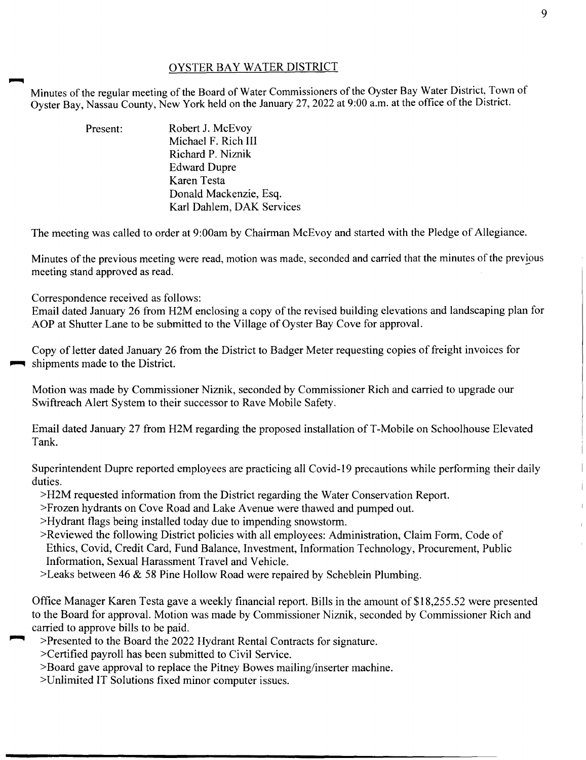## OYSTER BAY WATER DISTRICT

Minutes of the regular meeting of the Board of Water Commissioners of the Oyster Bay Water District, Town of Oyster Bay, Nassau County, New York held on the January 27, 2022 at 9:00 a.m. at the office of the District.

> Present: Robert J. McEvov Michael F. Rich III Richard P. Niznik Edward Dupre Karen Testa Donald Mackenzie, Esq. Karl Dahlem, DAK Services

The meeting was called to order at 9:00am by Chairman McEvoy and started with the Pledge of Allegiance.

Minutes of the previous meeting were read, motion was made, seconded and carried that the minutes of the previous meeting stand approved as read.

Correspondence received as follows:

Email dated January 26 from H2M enclosing a copy of the revised building elevations and landscaping plan for AOP at Shutter Lane to be submitted to the Village of Oyster Bay Cove for approval.

Copy of letter dated January 26 from the District to Badger Meter requesting copies of freight invoices for • shipments made to the District.

Motion was made by Commissioner Niznik, seconded by Commissioner Rich and carried to upgrade our Swiftreach Alert System to their successor to Rave Mobile Safety.

Email dated January 27 from H2M regarding the proposed installation of T-Mobile on Schoolhouse Elevated Tank.

Superintendent Dupre reported employees are practicing all Covid-19 precautions while performing their daily duties.

>H2M requested information from the District regarding the Water Conservation Report.

>Frozen hydrants on Cove Road and Lake Avenue were thawed and pumped out.

>Hydrant flags being installed today due to impending snowstorm.

- >Reviewed the following District policies with all employees: Administration, Claim Form, Code of Ethics, Covid, Credit Card, Fund Balance, Investment, Information Technology, Procurement, Public Information, Sexual Harassment Travel and Vehicle.
- >Leaks between 46  $&$  58 Pine Hollow Road were repaired by Scheblein Plumbing.

Office Manager Karen Testa gave a weekly financial report. Bills in the amount of \$18,255.52 were presented to the Board for approval. Motion was made by Commissioner Niznik, seconded by Commissioner Rich and carried to approve bills to be paid.

- >Presented to the Board the 2022 Hydrant Rental Contracts for signature.
- >Certified payroll has been submitted to Civil Service.
- >Board gave approval to replace the Pitney Bowes mailing/inserter machine.
- >Unlimited IT Solutions fixed minor computer issues.